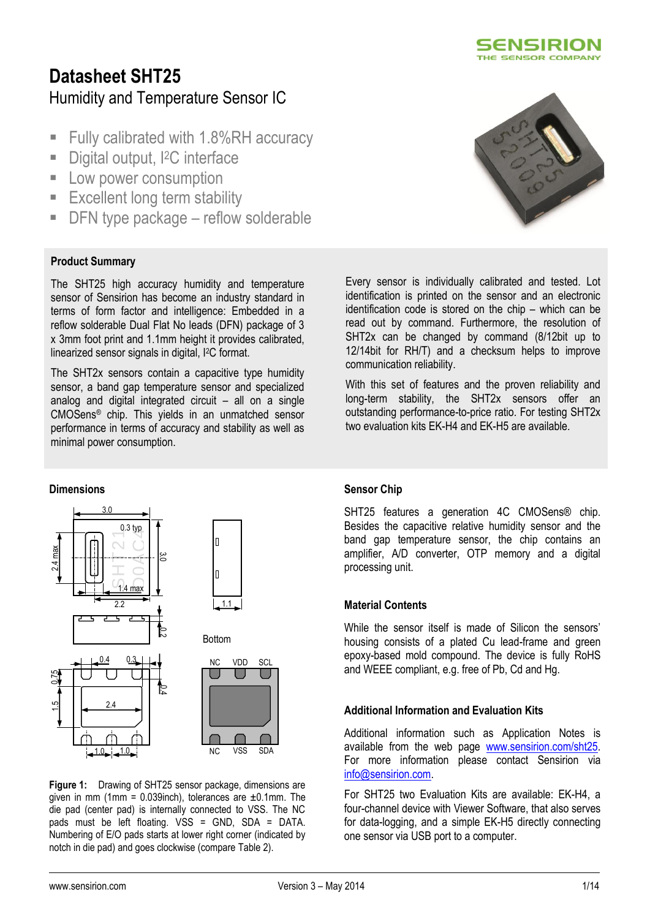

# **Datasheet SHT25** Humidity and Temperature Sensor IC

- Fully calibrated with 1.8%RH accuracy
- Digital output, <sup>2</sup>C interface
- **Low power consumption**
- **Excellent long term stability**
- DFN type package reflow solderable

### **Product Summary**

The SHT25 high accuracy humidity and temperature sensor of Sensirion has become an industry standard in terms of form factor and intelligence: Embedded in a reflow solderable Dual Flat No leads (DFN) package of 3 x 3mm foot print and 1.1mm height it provides calibrated, linearized sensor signals in digital, I2C format.

The SHT2x sensors contain a capacitive type humidity sensor, a band gap temperature sensor and specialized analog and digital integrated circuit – all on a single CMOSens® chip. This yields in an unmatched sensor performance in terms of accuracy and stability as well as minimal power consumption.

### **Dimensions**



**Figure 1:** Drawing of SHT25 sensor package, dimensions are given in mm (1mm =  $0.039$ inch), tolerances are  $\pm 0.1$ mm. The die pad (center pad) is internally connected to VSS. The NC pads must be left floating. VSS = GND, SDA = DATA. Numbering of E/O pads starts at lower right corner (indicated by notch in die pad) and goes clockwise (compare [Table 2\)](#page-5-0).



Every sensor is individually calibrated and tested. Lot identification is printed on the sensor and an electronic identification code is stored on the chip – which can be read out by command. Furthermore, the resolution of SHT2x can be changed by command (8/12bit up to 12/14bit for RH/T) and a checksum helps to improve communication reliability.

With this set of features and the proven reliability and long-term stability, the SHT2x sensors offer an outstanding performance-to-price ratio. For testing SHT2x two evaluation kits EK-H4 and EK-H5 are available.

### **Sensor Chip**

SHT25 features a generation 4C CMOSens® chip. Besides the capacitive relative humidity sensor and the band gap temperature sensor, the chip contains an amplifier, A/D converter, OTP memory and a digital processing unit.

### **Material Contents**

While the sensor itself is made of Silicon the sensors' housing consists of a plated Cu lead-frame and green epoxy-based mold compound. The device is fully RoHS and WEEE compliant, e.g. free of Pb, Cd and Hg.

### **Additional Information and Evaluation Kits**

Additional information such as Application Notes is available from the web page [www.sensirion.com/sht25.](http://www.sensirion.com/sht25) For more information please contact Sensirion via [info@sensirion.com.](mailto:info@sensirion.com)

For SHT25 two Evaluation Kits are available: EK-H4, a four-channel device with Viewer Software, that also serves for data-logging, and a simple EK-H5 directly connecting one sensor via USB port to a computer.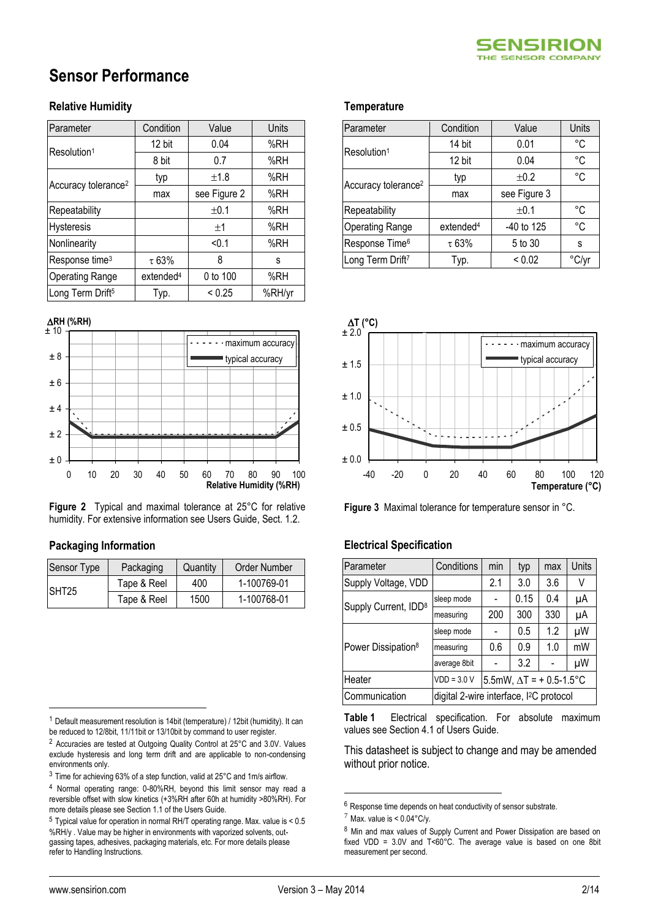# **Sensor Performance**

### **Relative Humidity**

<span id="page-1-1"></span><span id="page-1-0"></span>

| Parameter                       | Condition             | Value        | Units  |
|---------------------------------|-----------------------|--------------|--------|
| Resolution <sup>1</sup>         | 12 bit                | 0.04         | %RH    |
|                                 | 8 bit                 | 0.7          | %RH    |
| Accuracy tolerance <sup>2</sup> | typ                   | ±1.8         | %RH    |
|                                 | max                   | see Figure 2 | %RH    |
| Repeatability                   |                       | ±0.1         | %RH    |
| Hysteresis                      |                       | ±1           | %RH    |
| Nonlinearity                    |                       | < 0.1        | %RH    |
| Response time <sup>3</sup>      | $\tau$ 63%            | 8            | S      |
| <b>Operating Range</b>          | extended <sup>4</sup> | 0 to 100     | %RH    |
| Long Term Drift <sup>5</sup>    | Typ.                  | < 0.25       | %RH/yr |

<span id="page-1-2"></span>

**Figure 2** Typical and maximal tolerance at 25°C for relative humidity. For extensive information see Users Guide, Sect. 1.2.

### **Packaging Information**

| Sensor Type       | Packaging   | Quantity | Order Number |
|-------------------|-------------|----------|--------------|
|                   | Tape & Reel | 400      | 1-100769-01  |
| SHT <sub>25</sub> | Tape & Reel | 1500     | 1-100768-01  |

### **Temperature**

| Parameter                       | Condition             | Value        | Units |
|---------------------------------|-----------------------|--------------|-------|
| Resolution <sup>1</sup>         | 14 bit                | 0.01         | °C    |
|                                 | 12 bit                | 0.04         | °C    |
|                                 | typ                   | ±0.2         | °C    |
| Accuracy tolerance <sup>2</sup> | max                   | see Figure 3 |       |
| Repeatability                   |                       | ±0.1         | °C    |
| <b>Operating Range</b>          | extended <sup>4</sup> | -40 to 125   | °C    |
| Response Time <sup>6</sup>      | $\tau$ 63%            | 5 to 30      | S     |
| Long Term Drift <sup>7</sup>    | Typ.                  | ${}_{0.02}$  | °C/yr |



**Figure 3** Maximal tolerance for temperature sensor in °C.

### **Electrical Specification**

<span id="page-1-3"></span>

| Parameter                        | Conditions                                          | min                             | typ  | max | Units |
|----------------------------------|-----------------------------------------------------|---------------------------------|------|-----|-------|
| Supply Voltage, VDD              |                                                     | 2.1                             | 3.0  | 3.6 | V     |
| Supply Current, IDD <sup>8</sup> | sleep mode                                          |                                 | 0.15 | 0.4 | μA    |
|                                  | measuring                                           | 200                             | 300  | 330 | μA    |
|                                  | sleep mode                                          |                                 | 0.5  | 1.2 | μW    |
| Power Dissipation <sup>8</sup>   | measuring                                           | 0.6                             | 0.9  | 1.0 | mW    |
|                                  | average 8bit                                        |                                 | 3.2  |     | μW    |
| Heater                           | $VDD = 3.0 V$                                       | 5.5mW, $\Delta T$ = + 0.5-1.5°C |      |     |       |
| Communication                    | digital 2-wire interface, I <sup>2</sup> C protocol |                                 |      |     |       |

<span id="page-1-4"></span>**Table 1** Electrical specification. For absolute maximum values see Section 4.1 of Users Guide.

This datasheet is subject to change and may be amended without prior notice.

<sup>1</sup> Default measurement resolution is 14bit (temperature) / 12bit (humidity). It can be reduced to 12/8bit, 11/11bit or 13/10bit by command to user register. <sup>2</sup> Accuracies are tested at Outgoing Quality Control at 25°C and 3.0V. Values exclude hysteresis and long term drift and are applicable to non-condensing

environments only.

 $\overline{a}$ 

<u>.</u>

<sup>3</sup> Time for achieving 63% of a step function, valid at 25°C and 1m/s airflow.

<sup>4</sup> Normal operating range: 0-80%RH, beyond this limit sensor may read a reversible offset with slow kinetics (+3%RH after 60h at humidity >80%RH). For more details please see Section 1.1 of the Users Guide.

<sup>5</sup> Typical value for operation in normal RH/T operating range. Max. value is < 0.5 %RH/y . Value may be higher in environments with vaporized solvents, outgassing tapes, adhesives, packaging materials, etc. For more details please refer to Handling Instructions.

<sup>6</sup> Response time depends on heat conductivity of sensor substrate.

 $7$  Max. value is <  $0.04^{\circ}$ C/v.

<sup>8</sup> Min and max values of Supply Current and Power Dissipation are based on fixed VDD = 3.0V and T<60°C. The average value is based on one 8bit measurement per second.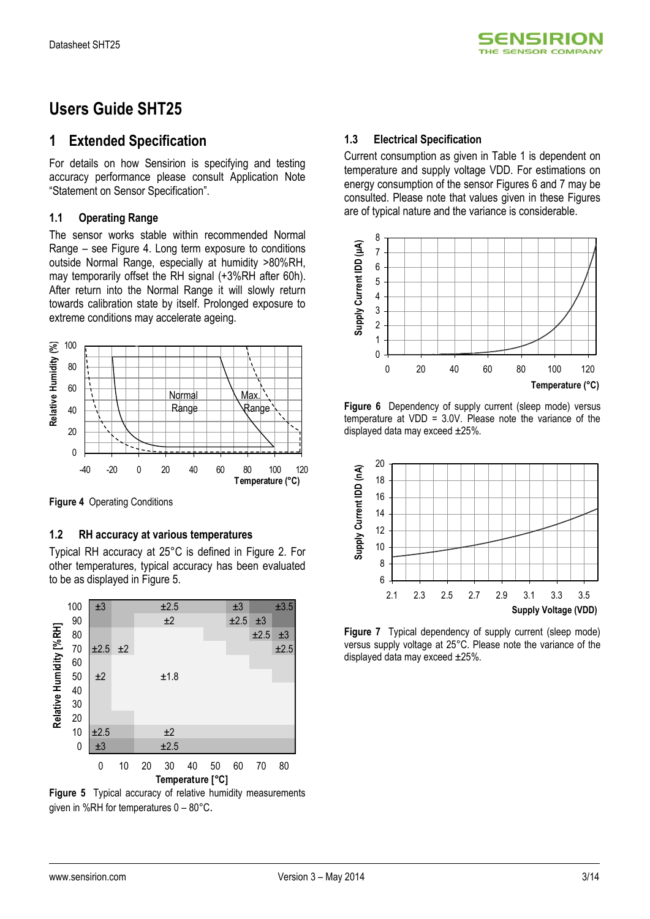

## **Users Guide SHT25**

### **1 Extended Specification**

For details on how Sensirion is specifying and testing accuracy performance please consult Application Note "Statement on Sensor Specification".

### **1.1 Operating Range**

The sensor works stable within recommended Normal Range – see Figure 4. Long term exposure to conditions outside Normal Range, especially at humidity >80%RH, may temporarily offset the RH signal (+3%RH after 60h). After return into the Normal Range it will slowly return towards calibration state by itself. Prolonged exposure to extreme conditions may accelerate ageing.



**Figure 4** Operating Conditions

### **1.2 RH accuracy at various temperatures**

Typical RH accuracy at 25°C is defined in Figure 2. For other temperatures, typical accuracy has been evaluated to be as displayed in Figure 5.



**Figure 5** Typical accuracy of relative humidity measurements given in %RH for temperatures 0 – 80°C.

### **1.3 Electrical Specification**

Current consumption as given in Table 1 is dependent on temperature and supply voltage VDD. For estimations on energy consumption of the sensor Figures 6 and 7 may be consulted. Please note that values given in these Figures are of typical nature and the variance is considerable.



**Figure 6** Dependency of supply current (sleep mode) versus temperature at VDD = 3.0V. Please note the variance of the displayed data may exceed  $\pm 25\%$ .



**Figure 7** Typical dependency of supply current (sleep mode) versus supply voltage at 25°C. Please note the variance of the displayed data may exceed ±25%.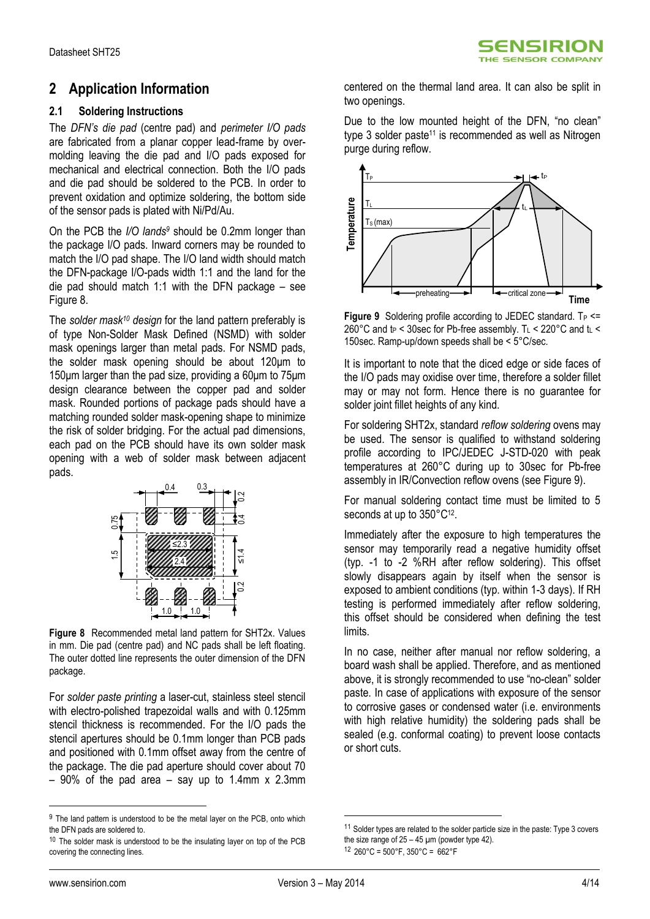## **2 Application Information**

### **2.1 Soldering Instructions**

The *DFN's die pad* (centre pad) and *perimeter I/O pads* are fabricated from a planar copper lead-frame by overmolding leaving the die pad and I/O pads exposed for mechanical and electrical connection. Both the I/O pads and die pad should be soldered to the PCB. In order to prevent oxidation and optimize soldering, the bottom side of the sensor pads is plated with Ni/Pd/Au.

On the PCB the *I/O lands<sup>9</sup>* should be 0.2mm longer than the package I/O pads. Inward corners may be rounded to match the I/O pad shape. The I/O land width should match the DFN-package I/O-pads width 1:1 and the land for the die pad should match 1:1 with the DFN package – see [Figure 8.](#page-3-0)

The *solder mask<sup>10</sup> design* for the land pattern preferably is of type Non-Solder Mask Defined (NSMD) with solder mask openings larger than metal pads. For NSMD pads, the solder mask opening should be about 120μm to 150μm larger than the pad size, providing a 60μm to 75μm design clearance between the copper pad and solder mask. Rounded portions of package pads should have a matching rounded solder mask-opening shape to minimize the risk of solder bridging. For the actual pad dimensions, each pad on the PCB should have its own solder mask opening with a web of solder mask between adjacent pads.



<span id="page-3-0"></span>**Figure 8** Recommended metal land pattern for SHT2x. Values in mm. Die pad (centre pad) and NC pads shall be left floating. The outer dotted line represents the outer dimension of the DFN package.

For *solder paste printing* a laser-cut, stainless steel stencil with electro-polished trapezoidal walls and with 0.125mm stencil thickness is recommended. For the I/O pads the stencil apertures should be 0.1mm longer than PCB pads and positioned with 0.1mm offset away from the centre of the package. The die pad aperture should cover about 70  $-90\%$  of the pad area  $-$  say up to 1.4mm x 2.3mm

centered on the thermal land area. It can also be split in two openings.

Due to the low mounted height of the DFN, "no clean" type 3 solder paste<sup>11</sup> is recommended as well as Nitrogen purge during reflow.



<span id="page-3-1"></span>**Figure 9** Soldering profile according to JEDEC standard.  $T_P \leq T$ 260°C and  $t_P$  < 30sec for Pb-free assembly. T<sub>L</sub> < 220°C and  $t_L$  < 150sec. Ramp-up/down speeds shall be < 5°C/sec.

It is important to note that the diced edge or side faces of the I/O pads may oxidise over time, therefore a solder fillet may or may not form. Hence there is no guarantee for solder joint fillet heights of any kind.

For soldering SHT2x, standard *reflow soldering* ovens may be used. The sensor is qualified to withstand soldering profile according to IPC/JEDEC J-STD-020 with peak temperatures at 260°C during up to 30sec for Pb-free assembly in IR/Convection reflow ovens (see [Figure 9\)](#page-3-1).

For manual soldering contact time must be limited to 5 seconds at up to 350°C<sup>12</sup>.

Immediately after the exposure to high temperatures the sensor may temporarily read a negative humidity offset (typ. -1 to -2 %RH after reflow soldering). This offset slowly disappears again by itself when the sensor is exposed to ambient conditions (typ. within 1-3 days). If RH testing is performed immediately after reflow soldering, this offset should be considered when defining the test limits.

In no case, neither after manual nor reflow soldering, a board wash shall be applied. Therefore, and as mentioned above, it is strongly recommended to use "no-clean" solder paste. In case of applications with exposure of the sensor to corrosive gases or condensed water (i.e. environments with high relative humidity) the soldering pads shall be sealed (e.g. conformal coating) to prevent loose contacts or short cuts.

 $\overline{a}$ 

1

<sup>&</sup>lt;sup>9</sup> The land pattern is understood to be the metal layer on the PCB, onto which the DFN pads are soldered to.

 $10$  The solder mask is understood to be the insulating layer on top of the PCB covering the connecting lines.

<sup>&</sup>lt;sup>11</sup> Solder types are related to the solder particle size in the paste: Type 3 covers the size range of  $25 - 45$  µm (powder type 42).  $12$  260°C = 500°F, 350°C = 662°F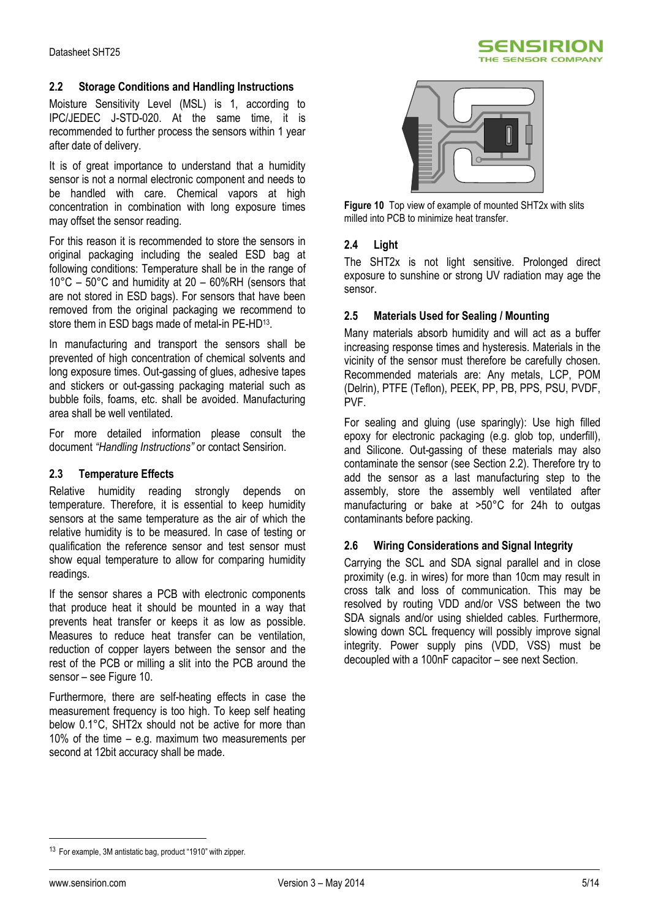

### **2.2 Storage Conditions and Handling Instructions**

Moisture Sensitivity Level (MSL) is 1, according to IPC/JEDEC J-STD-020. At the same time, it is recommended to further process the sensors within 1 year after date of delivery.

It is of great importance to understand that a humidity sensor is not a normal electronic component and needs to be handled with care. Chemical vapors at high concentration in combination with long exposure times may offset the sensor reading.

For this reason it is recommended to store the sensors in original packaging including the sealed ESD bag at following conditions: Temperature shall be in the range of 10°C – 50°C and humidity at 20 – 60%RH (sensors that are not stored in ESD bags). For sensors that have been removed from the original packaging we recommend to store them in ESD bags made of metal-in PE-HD<sup>13</sup>.

In manufacturing and transport the sensors shall be prevented of high concentration of chemical solvents and long exposure times. Out-gassing of glues, adhesive tapes and stickers or out-gassing packaging material such as bubble foils, foams, etc. shall be avoided. Manufacturing area shall be well ventilated.

For more detailed information please consult the document *"Handling Instructions"* or contact Sensirion.

### **2.3 Temperature Effects**

Relative humidity reading strongly depends on temperature. Therefore, it is essential to keep humidity sensors at the same temperature as the air of which the relative humidity is to be measured. In case of testing or qualification the reference sensor and test sensor must show equal temperature to allow for comparing humidity readings.

If the sensor shares a PCB with electronic components that produce heat it should be mounted in a way that prevents heat transfer or keeps it as low as possible. Measures to reduce heat transfer can be ventilation, reduction of copper layers between the sensor and the rest of the PCB or milling a slit into the PCB around the sensor – see [Figure 10.](#page-4-0)

Furthermore, there are self-heating effects in case the measurement frequency is too high. To keep self heating below 0.1°C, SHT2x should not be active for more than 10% of the time – e.g. maximum two measurements per second at 12bit accuracy shall be made.



<span id="page-4-0"></span>**Figure 10** Top view of example of mounted SHT2x with slits milled into PCB to minimize heat transfer.

### **2.4 Light**

The SHT2x is not light sensitive. Prolonged direct exposure to sunshine or strong UV radiation may age the sensor.

### **2.5 Materials Used for Sealing / Mounting**

Many materials absorb humidity and will act as a buffer increasing response times and hysteresis. Materials in the vicinity of the sensor must therefore be carefully chosen. Recommended materials are: Any metals, LCP, POM (Delrin), PTFE (Teflon), PEEK, PP, PB, PPS, PSU, PVDF, PVF.

For sealing and gluing (use sparingly): Use high filled epoxy for electronic packaging (e.g. glob top, underfill), and Silicone. Out-gassing of these materials may also contaminate the sensor (see Section 2.2). Therefore try to add the sensor as a last manufacturing step to the assembly, store the assembly well ventilated after manufacturing or bake at >50°C for 24h to outgas contaminants before packing.

### **2.6 Wiring Considerations and Signal Integrity**

Carrying the SCL and SDA signal parallel and in close proximity (e.g. in wires) for more than 10cm may result in cross talk and loss of communication. This may be resolved by routing VDD and/or VSS between the two SDA signals and/or using shielded cables. Furthermore, slowing down SCL frequency will possibly improve signal integrity. Power supply pins (VDD, VSS) must be decoupled with a 100nF capacitor – see next Section.

 $\overline{a}$ 

<sup>&</sup>lt;sup>13</sup> For example, 3M antistatic bag, product "1910" with zipper.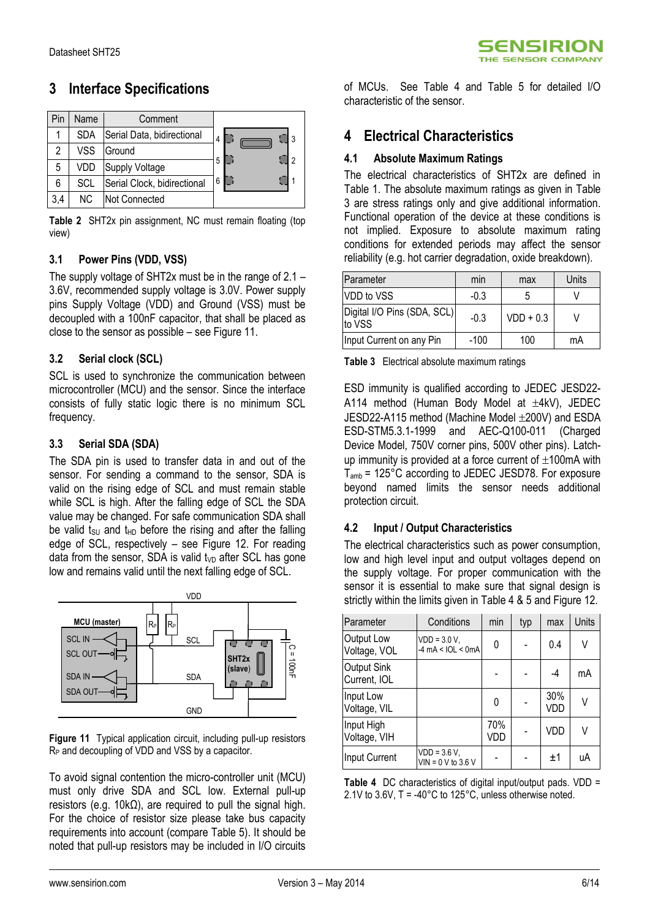## **3 Interface Specifications**

|     | Name       | Comment                     |          |
|-----|------------|-----------------------------|----------|
|     | <b>SDA</b> | Serial Data, bidirectional  | 3<br>4   |
| 2   | VSS        | Ground                      |          |
| 5   | VDD        | Supply Voltage              | ر ا<br>5 |
| 6   | SCL        | Serial Clock, bidirectional | 6        |
| 3,4 | NC.        | Not Connected               |          |

<span id="page-5-0"></span>**Table 2** SHT2x pin assignment, NC must remain floating (top view)

### **3.1 Power Pins (VDD, VSS)**

The supply voltage of SHT2x must be in the range of 2.1 – 3.6V, recommended supply voltage is 3.0V. Power supply pins Supply Voltage (VDD) and Ground (VSS) must be decoupled with a 100nF capacitor, that shall be placed as close to the sensor as possible – se[e Figure 11.](#page-5-1)

### **3.2 Serial clock (SCL)**

SCL is used to synchronize the communication between microcontroller (MCU) and the sensor. Since the interface consists of fully static logic there is no minimum SCL frequency.

### **3.3 Serial SDA (SDA)**

The SDA pin is used to transfer data in and out of the sensor. For sending a command to the sensor, SDA is valid on the rising edge of SCL and must remain stable while SCL is high. After the falling edge of SCL the SDA value may be changed. For safe communication SDA shall be valid  $t_{\text{SU}}$  and  $t_{\text{HD}}$  before the rising and after the falling edge of SCL, respectively – see [Figure 12.](#page-6-0) For reading data from the sensor. SDA is valid  $t_{VD}$  after SCL has gone low and remains valid until the next falling edge of SCL.



<span id="page-5-1"></span>**Figure 11** Typical application circuit, including pull-up resistors R<sub>P</sub> and decoupling of VDD and VSS by a capacitor.

To avoid signal contention the micro-controller unit (MCU) must only drive SDA and SCL low. External pull-up resistors (e.g. 10kΩ), are required to pull the signal high. For the choice of resistor size please take bus capacity requirements into account (compare Table 5). It should be noted that pull-up resistors may be included in I/O circuits of MCUs. See [Table 4](#page-5-2) and [Table 5](#page-6-1) for detailed I/O characteristic of the sensor.

## **4 Electrical Characteristics**

### **4.1 Absolute Maximum Ratings**

The electrical characteristics of SHT2x are defined in [Table 1.](#page-1-4) The absolute maximum ratings as given in [Table](#page-5-3)  [3](#page-5-3) are stress ratings only and give additional information. Functional operation of the device at these conditions is not implied. Exposure to absolute maximum rating conditions for extended periods may affect the sensor reliability (e.g. hot carrier degradation, oxide breakdown).

| <b>IParameter</b>                     | min    | max         | Units |
|---------------------------------------|--------|-------------|-------|
| VDD to VSS                            | $-0.3$ |             |       |
| Digital I/O Pins (SDA, SCL)<br>to VSS | $-0.3$ | $VDD + 0.3$ |       |
| Input Current on any Pin              | $-100$ | 100         | mA    |

<span id="page-5-3"></span>**Table 3** Electrical absolute maximum ratings

ESD immunity is qualified according to JEDEC JESD22- A114 method (Human Body Model at  $\pm$ 4kV), JEDEC  $JESD22-A115$  method (Machine Model  $\pm$ 200V) and ESDA ESD-STM5.3.1-1999 and AEC-Q100-011 (Charged Device Model, 750V corner pins, 500V other pins). Latchup immunity is provided at a force current of  $\pm 100$ mA with Tamb = 125°C according to JEDEC JESD78. For exposure beyond named limits the sensor needs additional protection circuit.

### **4.2 Input / Output Characteristics**

The electrical characteristics such as power consumption, low and high level input and output voltages depend on the supply voltage. For proper communication with the sensor it is essential to make sure that signal design is strictly within the limits given i[n Table 4](#page-5-2) & 5 and [Figure 12.](#page-6-0)

| Parameter                          | Conditions                                                  | min        | typ | max        | Units |
|------------------------------------|-------------------------------------------------------------|------------|-----|------------|-------|
| Output Low<br>Voltage, VOL         | $VDD = 3.0 V,$<br>$-4 \text{ mA} < \text{IOL} < \text{0mA}$ | 0          |     | 0.4        | V     |
| <b>Output Sink</b><br>Current, IOL |                                                             |            |     | $-4$       | mA    |
| Input Low<br>Voltage, VIL          |                                                             | 0          |     | 30%<br>VDD | V     |
| Input High<br>Voltage, VIH         |                                                             | 70%<br>VDD |     | VDD        | V     |
| Input Current                      | $VDD = 3.6 V,$<br>$VIN = 0 V to 3.6 V$                      |            |     | $+1$       | uA    |

<span id="page-5-2"></span>**Table 4** DC characteristics of digital input/output pads. VDD = 2.1V to 3.6V, T = -40°C to 125°C, unless otherwise noted.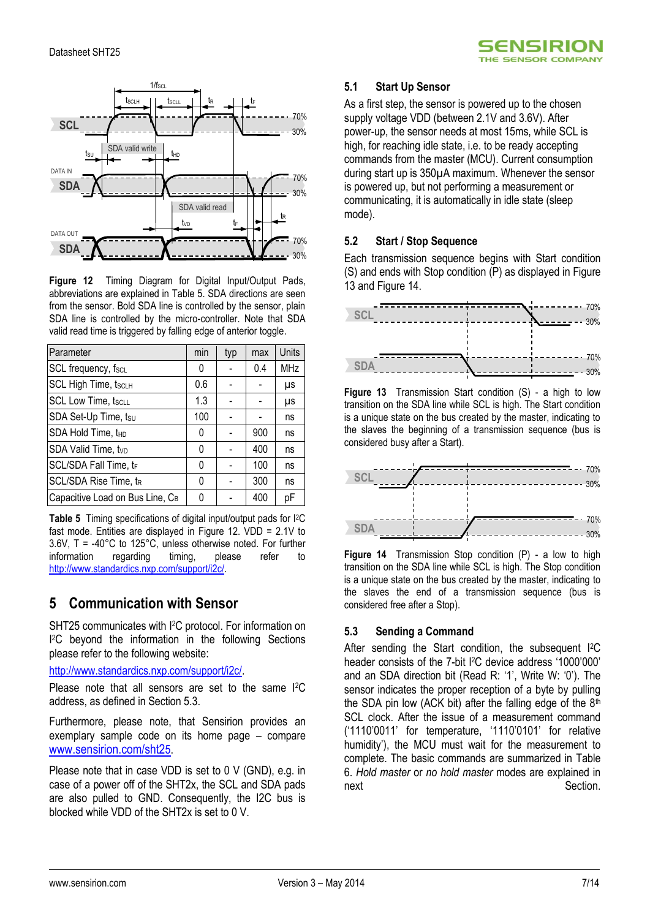

<span id="page-6-0"></span>**Figure 12** Timing Diagram for Digital Input/Output Pads, abbreviations are explained in [Table 5.](#page-6-1) SDA directions are seen from the sensor. Bold SDA line is controlled by the sensor, plain SDA line is controlled by the micro-controller. Note that SDA valid read time is triggered by falling edge of anterior toggle.

| Parameter                       | min | typ | max | Units      |
|---------------------------------|-----|-----|-----|------------|
| SCL frequency, fscL             | 0   |     | 0.4 | <b>MHz</b> |
| <b>SCL High Time, tscLH</b>     | 0.6 |     |     | μs         |
| <b>SCL Low Time, tscLL</b>      | 1.3 |     |     | μs         |
| SDA Set-Up Time, tsu            | 100 |     |     | ns         |
| SDA Hold Time, t <sub>HD</sub>  | 0   |     | 900 | ns         |
| SDA Valid Time, tvp             | 0   |     | 400 | ns         |
| SCL/SDA Fall Time, tr           | 0   |     | 100 | ns         |
| SCL/SDA Rise Time, tR           | 0   |     | 300 | ns         |
| Capacitive Load on Bus Line, CB | ŋ   |     | 400 | рF         |

<span id="page-6-1"></span>**Table 5** Timing specifications of digital input/output pads for I2C fast mode. Entities are displayed in [Figure 12.](#page-6-0) VDD = 2.1V to  $3.6V$ , T = -40°C to 125°C, unless otherwise noted. For further information regarding timing. please refer to information regarding timing, please refer to [http://www.standardics.nxp.com/support/i2c/.](http://www.standardics.nxp.com/support/i2c/)

## **5 Communication with Sensor**

SHT25 communicates with I <sup>2</sup>C protocol. For information on I <sup>2</sup>C beyond the information in the following Sections please refer to the following website:

[http://www.standardics.nxp.com/support/i2c/.](http://www.standardics.nxp.com/support/i2c/)

Please note that all sensors are set to the same I2C address, as defined in Section 5.3.

Furthermore, please note, that Sensirion provides an exemplary sample code on its home page – compare [www.sensirion.com/sht2](http://www.sensirion.com/sht25)5.

Please note that in case VDD is set to 0 V (GND), e.g. in case of a power off of the SHT2x, the SCL and SDA pads are also pulled to GND. Consequently, the I2C bus is blocked while VDD of the SHT2x is set to 0 V.

### **5.1 Start Up Sensor**

As a first step, the sensor is powered up to the chosen supply voltage VDD (between 2.1V and 3.6V). After power-up, the sensor needs at most 15ms, while SCL is high, for reaching idle state, i.e. to be ready accepting commands from the master (MCU). Current consumption during start up is 350µA maximum. Whenever the sensor is powered up, but not performing a measurement or communicating, it is automatically in idle state (sleep mode).

5ENSIRION HE SENSOR COMPANY

### **5.2 Start / Stop Sequence**

Each transmission sequence begins with Start condition (S) and ends with Stop condition (P) as displayed i[n Figure](#page-6-2)  [13](#page-6-2) and [Figure 14.](#page-6-3)



<span id="page-6-2"></span>**Figure 13** Transmission Start condition (S) - a high to low transition on the SDA line while SCL is high. The Start condition is a unique state on the bus created by the master, indicating to the slaves the beginning of a transmission sequence (bus is considered busy after a Start).



<span id="page-6-3"></span>**Figure 14** Transmission Stop condition (P) - a low to high transition on the SDA line while SCL is high. The Stop condition is a unique state on the bus created by the master, indicating to the slaves the end of a transmission sequence (bus is considered free after a Stop).

### **5.3 Sending a Command**

After sending the Start condition, the subsequent <sup>[2</sup>C header consists of the 7-bit <sup>[2</sup>C device address '1000'000' and an SDA direction bit (Read R: '1', Write W: '0'). The sensor indicates the proper reception of a byte by pulling the SDA pin low (ACK bit) after the falling edge of the  $8<sup>th</sup>$ SCL clock. After the issue of a measurement command ('1110'0011' for temperature, '1110'0101' for relative humidity'), the MCU must wait for the measurement to complete. The basic commands are summarized in [Table](#page-7-0)  [6.](#page-7-0) *Hold master* or *no hold master* modes are explained in next Section.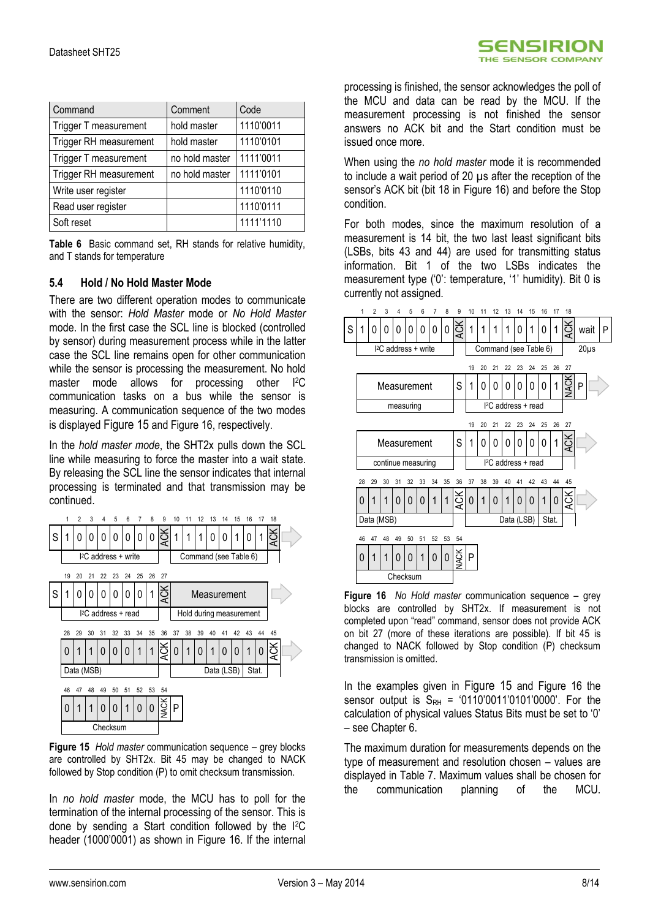| <b>SENSIRION</b>          |  |
|---------------------------|--|
| <b>THE SENSOR COMPANY</b> |  |

| Command                | Comment        | Code      |
|------------------------|----------------|-----------|
| Trigger T measurement  | hold master    | 1110'0011 |
| Trigger RH measurement | hold master    | 1110'0101 |
| Trigger T measurement  | no hold master | 1111'0011 |
| Trigger RH measurement | no hold master | 1111'0101 |
| Write user register    |                | 1110'0110 |
| Read user register     |                | 1110'0111 |
| Soft reset             |                | 1111'1110 |

<span id="page-7-0"></span>**Table 6** Basic command set, RH stands for relative humidity, and T stands for temperature

### **5.4 Hold / No Hold Master Mode**

There are two different operation modes to communicate with the sensor: *Hold Master* mode or *No Hold Master* mode. In the first case the SCL line is blocked (controlled by sensor) during measurement process while in the latter case the SCL line remains open for other communication while the sensor is processing the measurement. No hold master mode allows for processing other I<sup>2</sup>C communication tasks on a bus while the sensor is measuring. A communication sequence of the two modes is displayed [Figure 15](#page-7-1) an[d Figure 16,](#page-7-2) respectively.

In the *hold master mode*, the SHT2x pulls down the SCL line while measuring to force the master into a wait state. By releasing the SCL line the sensor indicates that internal processing is terminated and that transmission may be continued.



<span id="page-7-1"></span>**Figure 15** *Hold master* communication sequence – grey blocks are controlled by SHT2x. Bit 45 may be changed to NACK followed by Stop condition (P) to omit checksum transmission.

In *no hold master* mode, the MCU has to poll for the termination of the internal processing of the sensor. This is done by sending a Start condition followed by the I2C header (1000'0001) as shown in [Figure 16.](#page-7-2) If the internal processing is finished, the sensor acknowledges the poll of the MCU and data can be read by the MCU. If the measurement processing is not finished the sensor answers no ACK bit and the Start condition must be issued once more.

When using the *no hold master* mode it is recommended to include a wait period of 20 µs after the reception of the sensor's ACK bit (bit 18 in [Figure 16\)](#page-7-2) and before the Stop condition.

For both modes, since the maximum resolution of a measurement is 14 bit, the two last least significant bits (LSBs, bits 43 and 44) are used for transmitting status information. Bit 1 of the two LSBs indicates the measurement type ('0': temperature, '1' humidity). Bit 0 is currently not assigned.



<span id="page-7-2"></span>**Figure 16** *No Hold master* communication sequence – grey blocks are controlled by SHT2x. If measurement is not completed upon "read" command, sensor does not provide ACK on bit 27 (more of these iterations are possible). If bit 45 is changed to NACK followed by Stop condition (P) checksum transmission is omitted.

In the examples given in [Figure 15](#page-7-1) and Figure 16 the sensor output is  $S_{RH} = '0110'0011'0101'0000'$ . For the calculation of physical values Status Bits must be set to '0' – see Chapter 6.

The maximum duration for measurements depends on the type of measurement and resolution chosen – values are displayed in [Table 7.](#page-8-0) Maximum values shall be chosen for the communication planning of the MCU.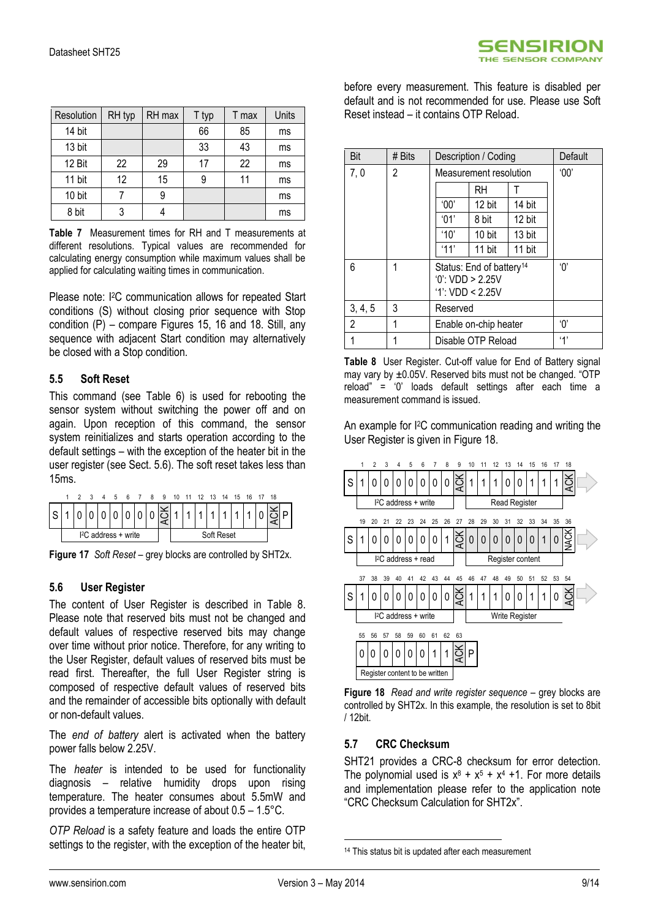| Resolution | RH typ | RH max | T typ | T max | Units |
|------------|--------|--------|-------|-------|-------|
| 14 bit     |        |        | 66    | 85    | ms    |
| 13 bit     |        |        | 33    | 43    | ms    |
| 12 Bit     | 22     | 29     | 17    | 22    | ms    |
| 11 bit     | 12     | 15     |       | 11    | ms    |
| 10 bit     |        | 9      |       |       | ms    |
| 8 bit      |        |        |       |       | ms    |

<span id="page-8-0"></span>**Table 7** Measurement times for RH and T measurements at different resolutions. Typical values are recommended for calculating energy consumption while maximum values shall be applied for calculating waiting times in communication.

Please note: I<sup>2</sup>C communication allows for repeated Start conditions (S) without closing prior sequence with Stop condition (P) – compare Figures 15, 16 and 18. Still, any sequence with adjacent Start condition may alternatively be closed with a Stop condition.

### **5.5 Soft Reset**

This command (see [Table 6\)](#page-7-0) is used for rebooting the sensor system without switching the power off and on again. Upon reception of this command, the sensor system reinitializes and starts operation according to the default settings – with the exception of the heater bit in the user register (see Sect. [5.6\)](#page-8-1). The soft reset takes less than 15ms.



**Figure 17** *Soft Reset* – grey blocks are controlled by SHT2x.

### <span id="page-8-1"></span>**5.6 User Register**

The content of User Register is described in [Table 8.](#page-8-2) Please note that reserved bits must not be changed and default values of respective reserved bits may change over time without prior notice. Therefore, for any writing to the User Register, default values of reserved bits must be read first. Thereafter, the full User Register string is composed of respective default values of reserved bits and the remainder of accessible bits optionally with default or non-default values.

The *end of battery* alert is activated when the battery power falls below 2.25V.

The *heater* is intended to be used for functionality diagnosis – relative humidity drops upon rising temperature. The heater consumes about 5.5mW and provides a temperature increase of about 0.5 – 1.5°C.

*OTP Reload* is a safety feature and loads the entire OTP settings to the register, with the exception of the heater bit, before every measurement. This feature is disabled per default and is not recommended for use. Please use Soft Reset instead – it contains OTP Reload.

| Bit     | # $Bits$ | Description / Coding                                                         | Default                |        |     |
|---------|----------|------------------------------------------------------------------------------|------------------------|--------|-----|
| 7,0     | 2        |                                                                              | Measurement resolution |        | 00' |
|         |          |                                                                              | RH                     |        |     |
|         |          | $^{\circ}00'$                                                                | 12 bit                 | 14 bit |     |
|         |          | '01'                                                                         | 8 bit                  | 12 bit |     |
|         |          | '10'                                                                         | 10 bit                 | 13 bit |     |
|         |          | '11'                                                                         | 11 bit                 | 11 bit |     |
| 6       | 1        | Status: End of battery <sup>14</sup><br>0: VDD > 2.25V<br>$'1$ : VDD < 2.25V | 'በ'                    |        |     |
| 3, 4, 5 | 3        | Reserved                                                                     |                        |        |     |
| 2       | 1        | Enable on-chip heater                                                        |                        |        | 'በ' |
| 1       |          |                                                                              | Disable OTP Reload     |        | 4'  |

<span id="page-8-2"></span>**Table 8** User Register. Cut-off value for End of Battery signal may vary by  $\pm 0.05V$ . Reserved bits must not be changed. "OTP reload" = '0' loads default settings after each time a measurement command is issued.

An example for I2C communication reading and writing the User Register is given i[n Figure 18.](#page-8-3)



<span id="page-8-3"></span>**Figure 18** *Read and write register sequence* – grey blocks are controlled by SHT2x. In this example, the resolution is set to 8bit / 12bit.

### **5.7 CRC Checksum**

SHT21 provides a CRC-8 checksum for error detection. The polynomial used is  $x^8 + x^5 + x^4 + 1$ . For more details and implementation please refer to the application note "CRC Checksum Calculation for SHT2x".

1

<sup>&</sup>lt;sup>14</sup> This status bit is updated after each measurement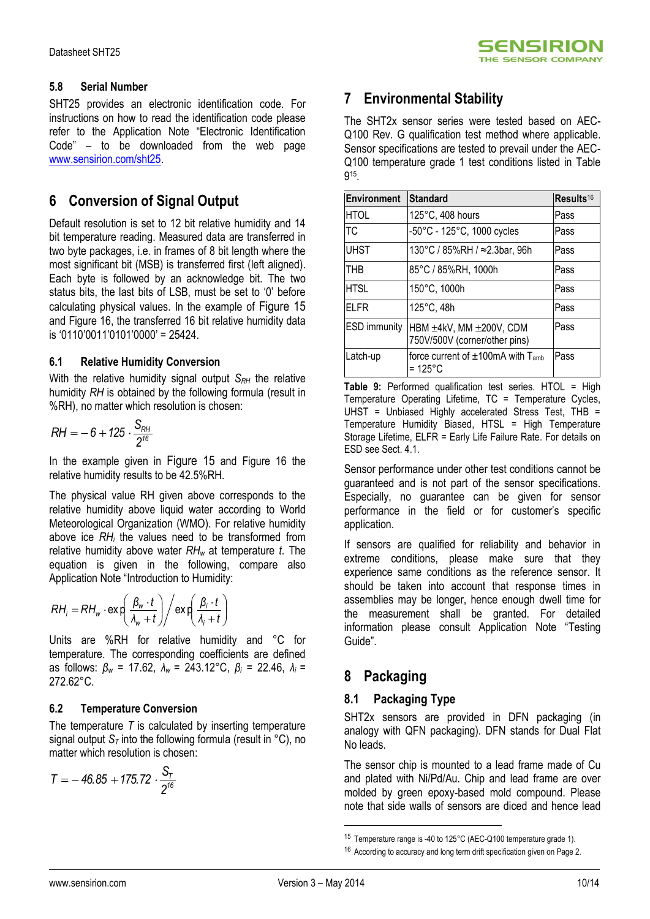### **5.8 Serial Number**

SHT25 provides an electronic identification code. For instructions on how to read the identification code please refer to the Application Note "Electronic Identification Code" – to be downloaded from the web page [www.sensirion.com/sht25.](http://www.sensirion.com/sht25)

## **6 Conversion of Signal Output**

Default resolution is set to 12 bit relative humidity and 14 bit temperature reading. Measured data are transferred in two byte packages, i.e. in frames of 8 bit length where the most significant bit (MSB) is transferred first (left aligned). Each byte is followed by an acknowledge bit. The two status bits, the last bits of LSB, must be set to '0' before calculating physical values. In the example of [Figure 15](#page-7-1) and [Figure 16,](#page-7-2) the transferred 16 bit relative humidity data is '0110'0011'0101'0000' = 25424.

### **6.1 Relative Humidity Conversion**

With the relative humidity signal output *S<sub>RH</sub>* the relative humidity *RH* is obtained by the following formula (result in %RH), no matter which resolution is chosen:

$$
RH = -6 + 125 \cdot \frac{S_{RH}}{2^{16}}
$$

In the example given in [Figure 15](#page-7-1) and Figure 16 the relative humidity results to be 42.5%RH.

The physical value RH given above corresponds to the relative humidity above liquid water according to World Meteorological Organization (WMO). For relative humidity above ice *RH<sup>i</sup>* the values need to be transformed from relative humidity above water *RH<sup>w</sup>* at temperature *t*. The equation is given in the following, compare also Application Note "Introduction to Humidity:

$$
RH_i = RH_w \cdot \exp\left(\frac{\beta_w \cdot t}{\lambda_w + t}\right) / \exp\left(\frac{\beta_i \cdot t}{\lambda_i + t}\right)
$$

Units are %RH for relative humidity and °C for temperature. The corresponding coefficients are defined as follows: *β<sup>w</sup>* = 17.62, *λ<sup>w</sup>* = 243.12°C, *β<sup>i</sup>* = 22.46, *λ<sup>i</sup>* =  $272.62^{\circ}$ C.

### **6.2 Temperature Conversion**

The temperature *T* is calculated by inserting temperature signal output  $S_T$  into the following formula (result in  $°C$ ), no matter which resolution is chosen:

$$
T = -46.85 + 175.72 \cdot \frac{S_T}{2^{16}}
$$

## **7 Environmental Stability**

The SHT2x sensor series were tested based on AEC-Q100 Rev. G qualification test method where applicable. Sensor specifications are tested to prevail under the AEC-Q100 temperature grade 1 test conditions listed in Table 9 15 .

| <b>Environment</b>  | <b>Standard</b>                                                         | Results <sup>16</sup> |
|---------------------|-------------------------------------------------------------------------|-----------------------|
| <b>HTOL</b>         | 125°C, 408 hours                                                        | Pass                  |
| TC                  | -50°C - 125°C, 1000 cycles                                              | Pass                  |
| <b>UHST</b>         | 130°C / 85%RH / ≈2.3bar, 96h                                            | Pass                  |
| <b>THB</b>          | 85°C / 85%RH, 1000h                                                     | Pass                  |
| <b>HTSL</b>         | 150°C, 1000h                                                            | Pass                  |
| FLFR                | 125°C, 48h                                                              | Pass                  |
| <b>ESD</b> immunity | HBM $\pm 4$ kV, MM $\pm 200$ V, CDM<br>750V/500V (corner/other pins)    | Pass                  |
| Latch-up            | force current of $\pm 100$ mA with T <sub>amb</sub><br>$=125^{\circ}$ C | Pass                  |

**Table 9:** Performed qualification test series. HTOL = High Temperature Operating Lifetime, TC = Temperature Cycles,  $U$ HST = Unbiased Highly accelerated Stress Test, THB = Temperature Humidity Biased, HTSL = High Temperature Storage Lifetime, ELFR = Early Life Failure Rate. For details on ESD see Sect. 4.1.

Sensor performance under other test conditions cannot be guaranteed and is not part of the sensor specifications. Especially, no guarantee can be given for sensor performance in the field or for customer's specific application.

If sensors are qualified for reliability and behavior in extreme conditions, please make sure that they experience same conditions as the reference sensor. It should be taken into account that response times in assemblies may be longer, hence enough dwell time for the measurement shall be granted. For detailed information please consult Application Note "Testing Guide".

## **8 Packaging**

### **8.1 Packaging Type**

SHT2x sensors are provided in DFN packaging (in analogy with QFN packaging). DFN stands for Dual Flat No leads.

The sensor chip is mounted to a lead frame made of Cu and plated with Ni/Pd/Au. Chip and lead frame are over molded by green epoxy-based mold compound. Please note that side walls of sensors are diced and hence lead

1

<sup>15</sup> Temperature range is -40 to 125°C (AEC-Q100 temperature grade 1).

<sup>&</sup>lt;sup>16</sup> According to accuracy and long term drift specification given on Page 2.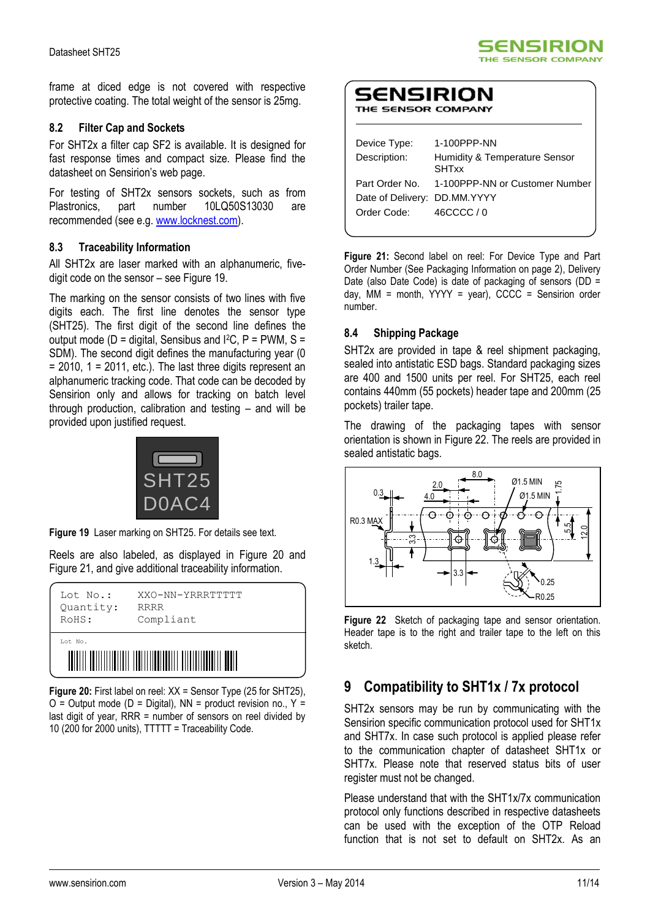frame at diced edge is not covered with respective protective coating. The total weight of the sensor is 25mg.

#### **8.2 Filter Cap and Sockets**

For SHT2x a filter cap SF2 is available. It is designed for fast response times and compact size. Please find the datasheet on Sensirion's web page.

For testing of SHT2x sensors sockets, such as from Plastronics, part number 10LQ50S13030 are recommended (see e.g. [www.locknest.com\)](http://www.locknest.com/).

### **8.3 Traceability Information**

All SHT2x are laser marked with an alphanumeric, fivedigit code on the sensor – see [Figure 19.](#page-10-0)

The marking on the sensor consists of two lines with five digits each. The first line denotes the sensor type (SHT25). The first digit of the second line defines the output mode ( $D =$  digital, Sensibus and I<sup>2</sup>C,  $P =$  PWM, S = SDM). The second digit defines the manufacturing year (0  $= 2010$ , 1 = 2011, etc.). The last three digits represent an alphanumeric tracking code. That code can be decoded by Sensirion only and allows for tracking on batch level through production, calibration and testing – and will be provided upon justified request.



**Figure 19** Laser marking on SHT25. For details see text.

<span id="page-10-0"></span>Reels are also labeled, as displayed in Figure 20 and Figure 21, and give additional traceability information.

| Lot No.:  | XXO-NN-YRRRTTTTT |  |  |  |  |
|-----------|------------------|--|--|--|--|
| Quantity: | <b>RRRR</b>      |  |  |  |  |
| RoHS:     | Compliant        |  |  |  |  |
| Lot No.   |                  |  |  |  |  |

**Figure 20:** First label on reel: XX = Sensor Type (25 for SHT25),  $O =$  Output mode (D = Digital), NN = product revision no., Y = last digit of year, RRR = number of sensors on reel divided by 10 (200 for 2000 units), TTTTT = Traceability Code.

| SENSIRION<br>THE SENSOR COMPANY |             |  |  |  |
|---------------------------------|-------------|--|--|--|
| Device Type:                    | 1-100PPP-NN |  |  |  |

| Device Type.                 | <u>I-TUUPPP-INN</u>                           |
|------------------------------|-----------------------------------------------|
| Description:                 | Humidity & Temperature Sensor<br><b>SHTxx</b> |
| Part Order No.               | 1-100PPP-NN or Customer Number                |
| Date of Delivery: DD.MM.YYYY |                                               |
| Order Code:                  | 46CCCC / 0                                    |
|                              |                                               |

**SENSIRION** THE SENSOR COMPANY

**Figure 21:** Second label on reel: For Device Type and Part Order Number (See Packaging Information on page 2), Delivery Date (also Date Code) is date of packaging of sensors (DD = day, MM = month,  $YYYY = year$ ),  $CCCC =$  Sensirion order number.

### **8.4 Shipping Package**

SHT2x are provided in tape & reel shipment packaging, sealed into antistatic ESD bags. Standard packaging sizes are 400 and 1500 units per reel. For SHT25, each reel contains 440mm (55 pockets) header tape and 200mm (25 pockets) trailer tape.

The drawing of the packaging tapes with sensor orientation is shown in Figure 22. The reels are provided in sealed antistatic bags.



**Figure 22** Sketch of packaging tape and sensor orientation. Header tape is to the right and trailer tape to the left on this sketch.

## **9 Compatibility to SHT1x / 7x protocol**

SHT2x sensors may be run by communicating with the Sensirion specific communication protocol used for SHT1x and SHT7x. In case such protocol is applied please refer to the communication chapter of datasheet SHT1x or SHT7x. Please note that reserved status bits of user register must not be changed.

Please understand that with the SHT1x/7x communication protocol only functions described in respective datasheets can be used with the exception of the OTP Reload function that is not set to default on SHT2x. As an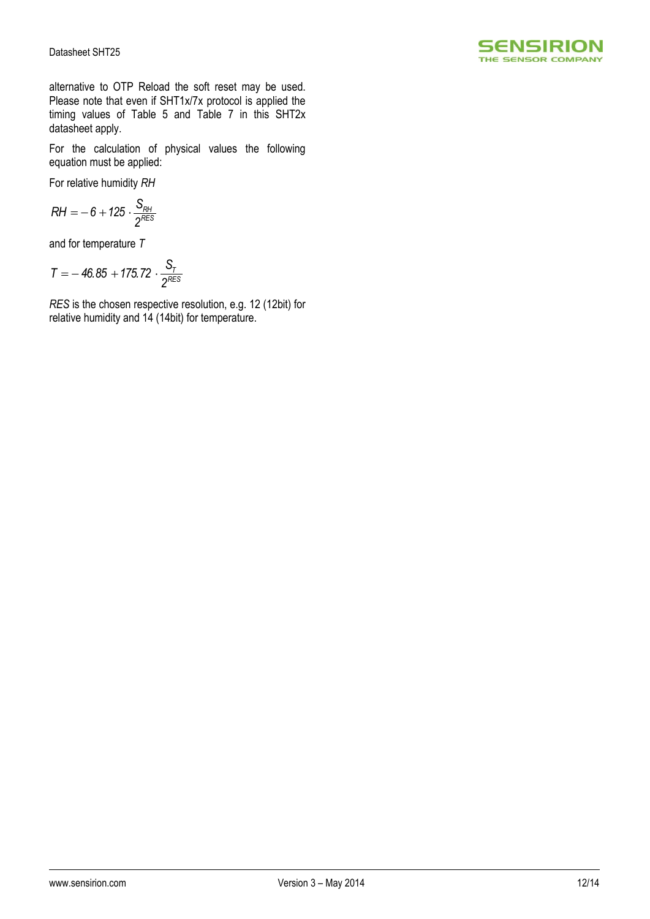

alternative to OTP Reload the soft reset may be used. Please note that even if SHT1x/7x protocol is applied the timing values of [Table 5](#page-6-1) and Table 7 in this SHT2x datasheet apply.

For the calculation of physical values the following equation must be applied:

For relative humidity *RH*

$$
RH=-6+125\cdot \frac{S_{RH}}{2^{RES}}
$$

and for temperature *T*

$$
T = -46.85 + 175.72 \cdot \frac{S_T}{2^{RES}}
$$

*RES* is the chosen respective resolution, e.g. 12 (12bit) for relative humidity and 14 (14bit) for temperature.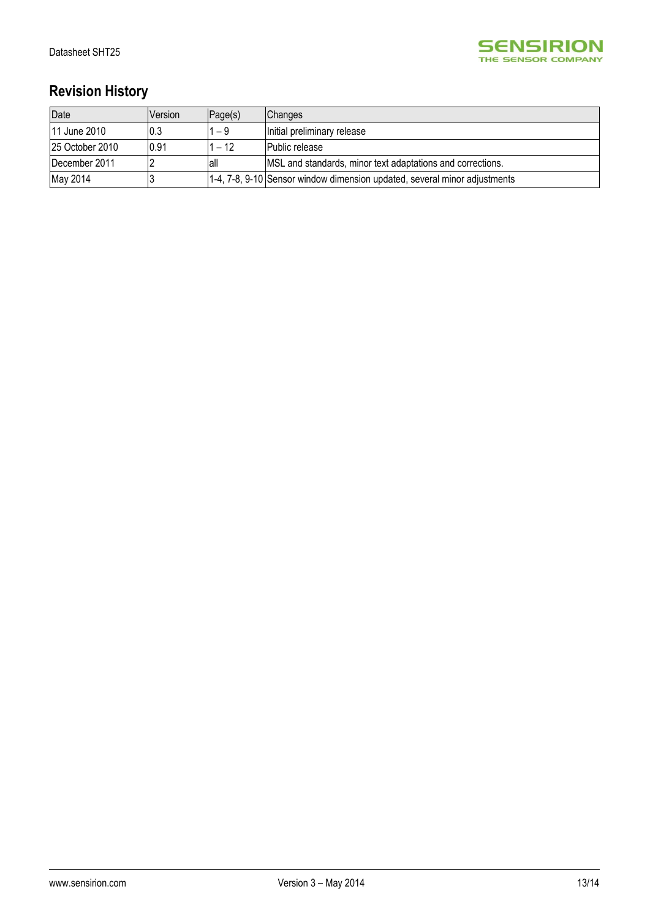

# **Revision History**

| Date            | Version | Page(s) | Changes                                                                   |
|-----------------|---------|---------|---------------------------------------------------------------------------|
| 11 June 2010    | 10.3    | 1 – 9   | Initial preliminary release                                               |
| 25 October 2010 | 0.91    | 1 – 12  | <b>IPublic release</b>                                                    |
| December 2011   |         | lall    | MSL and standards, minor text adaptations and corrections.                |
| May 2014        |         |         | 1-4, 7-8, 9-10 Sensor window dimension updated, several minor adjustments |